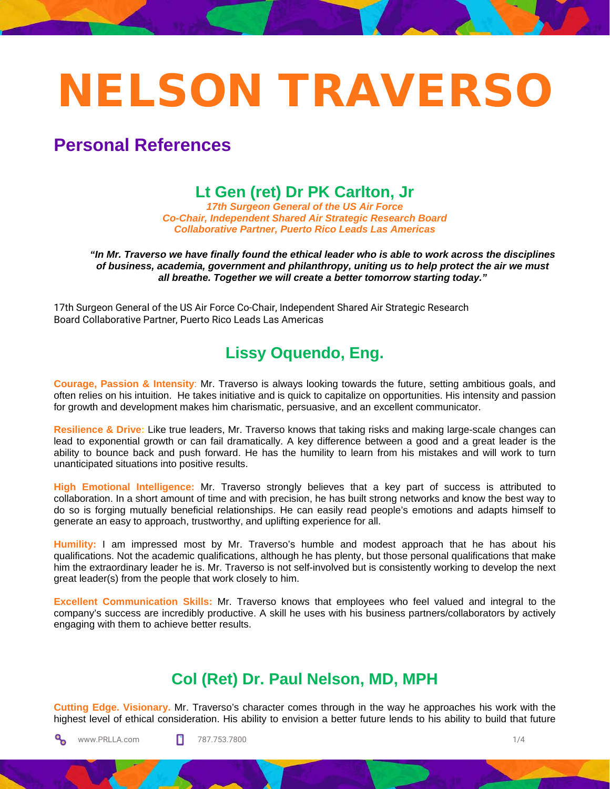# NELSON TRAVERSO

**Personal References**

## **Lt Gen (ret) Dr PK Carlton, Jr**

*17th Surgeon General of the US Air Force Co-Chair, Independent Shared Air Strategic Research Board Collaborative Partner, Puerto Rico Leads Las Americas*

*"In Mr. Traverso we have finally found the ethical leader who is able to work across the disciplines of business, academia, government and philanthropy, uniting us to help protect the air we must all breathe. Together we will create a better tomorrow starting today."*

17th Surgeon General of the US Air Force Co-Chair, Independent Shared Air Strategic Research Board Collaborative Partner, Puerto Rico Leads Las Americas

### **Lissy Oquendo, Eng.**

**Courage, Passion & Intensity**: Mr. Traverso is always looking towards the future, setting ambitious goals, and often relies on his intuition. He takes initiative and is quick to capitalize on opportunities. His intensity and passion for growth and development makes him charismatic, persuasive, and an excellent communicator.

**Resilience & Drive:** Like true leaders, Mr. Traverso knows that taking risks and making large-scale changes can lead to exponential growth or can fail dramatically. A key difference between a good and a great leader is the ability to bounce back and push forward. He has the humility to learn from his mistakes and will work to turn unanticipated situations into positive results.

**High Emotional Intelligence:** Mr. Traverso strongly believes that a key part of success is attributed to collaboration. In a short amount of time and with precision, he has built strong networks and know the best way to do so is forging mutually beneficial relationships. He can easily read people's emotions and adapts himself to generate an easy to approach, trustworthy, and uplifting experience for all.

**Humility:** I am impressed most by Mr. Traverso's humble and modest approach that he has about his qualifications. Not the academic qualifications, although he has plenty, but those personal qualifications that make him the extraordinary leader he is. Mr. Traverso is not self-involved but is consistently working to develop the next great leader(s) from the people that work closely to him.

**Excellent Communication Skills:** Mr. Traverso knows that employees who feel valued and integral to the company's success are incredibly productive. A skill he uses with his business partners/collaborators by actively engaging with them to achieve better results.

## **Col (Ret) Dr. Paul Nelson, MD, MPH**

**Cutting Edge. Visionary.** Mr. Traverso's character comes through in the way he approaches his work with the highest level of ethical consideration. His ability to envision a better future lends to his ability to build that future

ೄ www.PRLLA.com **787.753.7800** 1/4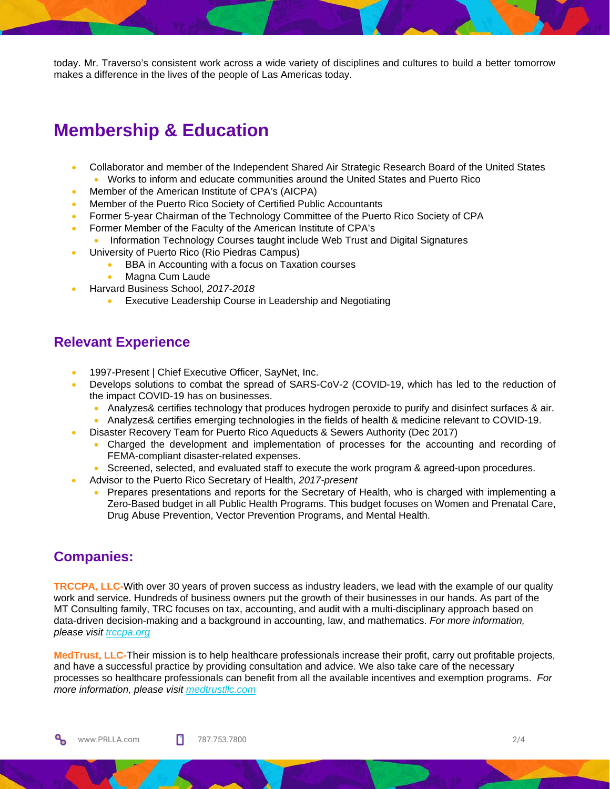today. Mr. Traverso's consistent work across a wide variety of disciplines and cultures to build a better tomorrow makes a difference in the lives of the people of Las Americas today.

## **Membership & Education**

- Collaborator and member of the Independent Shared Air Strategic Research Board of the United States • Works to inform and educate communities around the United States and Puerto Rico
- Member of the American Institute of CPA's (AICPA)
- Member of the Puerto Rico Society of Certified Public Accountants
- Former 5-year Chairman of the Technology Committee of the Puerto Rico Society of CPA
- Former Member of the Faculty of the American Institute of CPA's
	- Information Technology Courses taught include Web Trust and Digital Signatures
- University of Puerto Rico (Rio Piedras Campus)
	- BBA in Accounting with a focus on Taxation courses
	- Magna Cum Laude
	- Harvard Business School*, 2017-2018*
		- Executive Leadership Course in Leadership and Negotiating

#### **Relevant Experience**

- 1997-Present | Chief Executive Officer, SayNet, Inc.
- Develops solutions to combat the spread of SARS-CoV-2 (COVID-19, which has led to the reduction of the impact COVID-19 has on businesses.
	- Analyzes& certifies technology that produces hydrogen peroxide to purify and disinfect surfaces & air.
	- Analyzes& certifies emerging technologies in the fields of health & medicine relevant to COVID-19.
- Disaster Recovery Team for Puerto Rico Aqueducts & Sewers Authority (Dec 2017)
	- Charged the development and implementation of processes for the accounting and recording of FEMA-compliant disaster-related expenses.
	- Screened, selected, and evaluated staff to execute the work program & agreed-upon procedures.
- Advisor to the Puerto Rico Secretary of Health, *2017-present*
	- Prepares presentations and reports for the Secretary of Health, who is charged with implementing a Zero-Based budget in all Public Health Programs. This budget focuses on Women and Prenatal Care, Drug Abuse Prevention, Vector Prevention Programs, and Mental Health.

#### **Companies:**

**TRCCPA, LLC-**With over 30 years of proven success as industry leaders, we lead with the example of our quality work and service. Hundreds of business owners put the growth of their businesses in our hands. As part of the MT Consulting family, TRC focuses on tax, accounting, and audit with a multi-disciplinary approach based on data-driven decision-making and a background in accounting, law, and mathematics. *For more information, please visit [trccpa.org](https://www.trccpa.org/)*

**MedTrust, LLC-**Their mission is to help healthcare professionals increase their profit, carry out profitable projects, and have a successful practice by providing consultation and advice. We also take care of the necessary processes so healthcare professionals can benefit from all the available incentives and exemption programs. *For more information, please visit [medtrustllc.com](https://medtrustllc.com/)*

ೄ www.PRLLA.com 2/4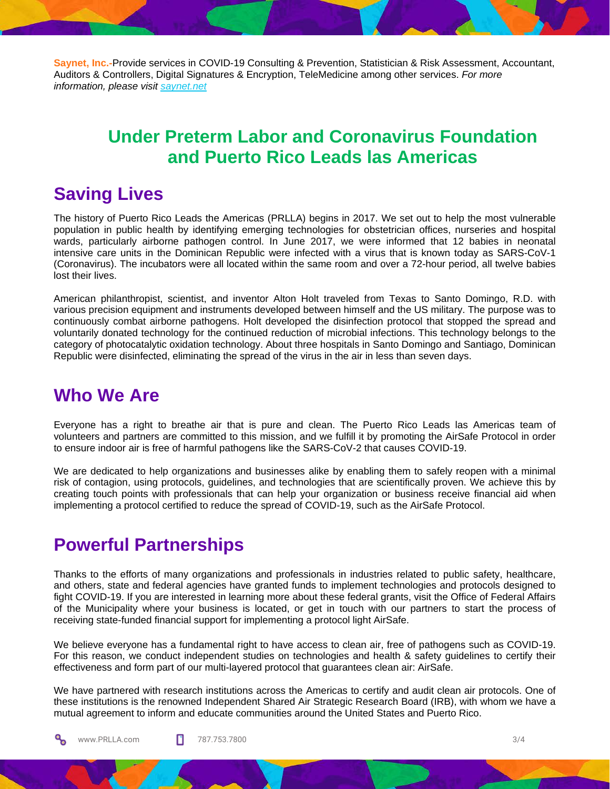**Saynet, Inc.-**Provide services in COVID-19 Consulting & Prevention, Statistician & Risk Assessment, Accountant, Auditors & Controllers, Digital Signatures & Encryption, TeleMedicine among other services. *For more information, please visit [saynet.net](https://www.saynet.net/)*

## **Under Preterm Labor and Coronavirus Foundation and Puerto Rico Leads las Americas**

## **Saving Lives**

The history of Puerto Rico Leads the Americas (PRLLA) begins in 2017. We set out to help the most vulnerable population in public health by identifying emerging technologies for obstetrician offices, nurseries and hospital wards, particularly airborne pathogen control. In June 2017, we were informed that 12 babies in neonatal intensive care units in the Dominican Republic were infected with a virus that is known today as SARS-CoV-1 (Coronavirus). The incubators were all located within the same room and over a 72-hour period, all twelve babies lost their lives.

American philanthropist, scientist, and inventor Alton Holt traveled from Texas to Santo Domingo, R.D. with various precision equipment and instruments developed between himself and the US military. The purpose was to continuously combat airborne pathogens. Holt developed the disinfection protocol that stopped the spread and voluntarily donated technology for the continued reduction of microbial infections. This technology belongs to the category of photocatalytic oxidation technology. About three hospitals in Santo Domingo and Santiago, Dominican Republic were disinfected, eliminating the spread of the virus in the air in less than seven days.

## **Who We Are**

Everyone has a right to breathe air that is pure and clean. The Puerto Rico Leads las Americas team of volunteers and partners are committed to this mission, and we fulfill it by promoting the AirSafe Protocol in order to ensure indoor air is free of harmful pathogens like the SARS-CoV-2 that causes COVID-19.

We are dedicated to help organizations and businesses alike by enabling them to safely reopen with a minimal risk of contagion, using protocols, guidelines, and technologies that are scientifically proven. We achieve this by creating touch points with professionals that can help your organization or business receive financial aid when implementing a protocol certified to reduce the spread of COVID-19, such as the AirSafe Protocol.

# **Powerful Partnerships**

Thanks to the efforts of many organizations and professionals in industries related to public safety, healthcare, and others, state and federal agencies have granted funds to implement technologies and protocols designed to fight COVID-19. If you are interested in learning more about these federal grants, visit the Office of Federal Affairs of the Municipality where your business is located, or get in touch with our partners to start the process of receiving state-funded financial support for implementing a protocol light AirSafe.

We believe everyone has a fundamental right to have access to clean air, free of pathogens such as COVID-19. For this reason, we conduct independent studies on technologies and health & safety guidelines to certify their effectiveness and form part of our multi-layered protocol that guarantees clean air: AirSafe.

We have partnered with research institutions across the Americas to certify and audit clean air protocols. One of these institutions is the renowned Independent Shared Air Strategic Research Board (IRB), with whom we have a mutual agreement to inform and educate communities around the United States and Puerto Rico.

ೄ

www.PRLLA.com 2/4 787.753.7800 3/4